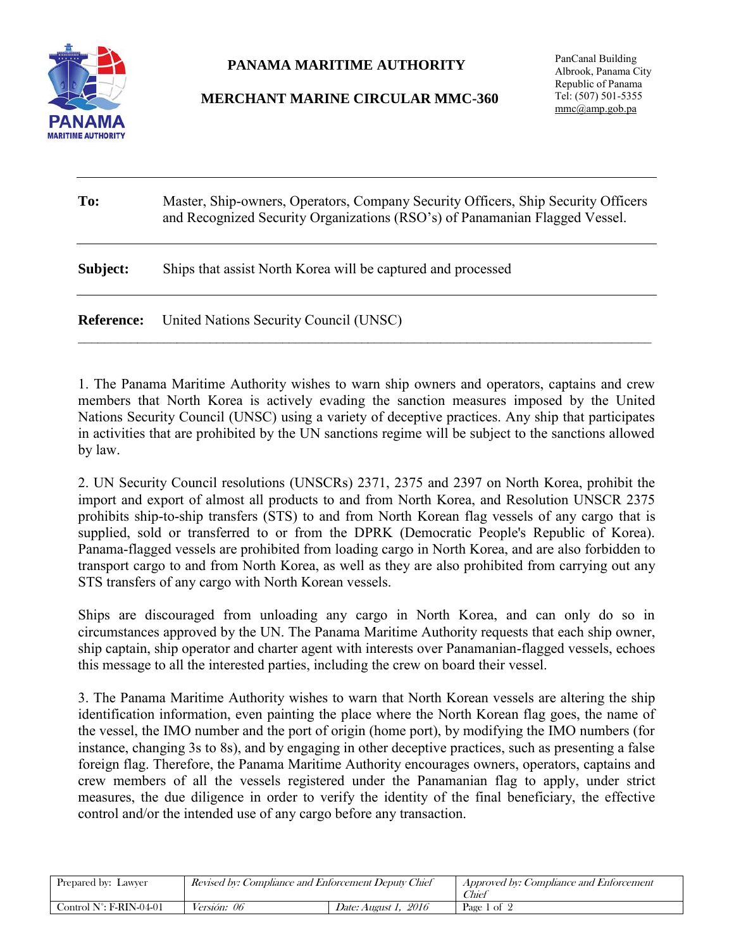

## **PANAMA MARITIME AUTHORITY**

## **MERCHANT MARINE CIRCULAR MMC-360**

PanCanal Building Albrook, Panama City Republic of Panama Tel: (507) 501-5355 [mmc@amp.gob.pa](mailto:mmc@amp.gob.pa)

| To:               | Master, Ship-owners, Operators, Company Security Officers, Ship Security Officers<br>and Recognized Security Organizations (RSO's) of Panamanian Flagged Vessel. |  |
|-------------------|------------------------------------------------------------------------------------------------------------------------------------------------------------------|--|
| Subject:          | Ships that assist North Korea will be captured and processed                                                                                                     |  |
| <b>Reference:</b> | United Nations Security Council (UNSC)                                                                                                                           |  |

1. The Panama Maritime Authority wishes to warn ship owners and operators, captains and crew members that North Korea is actively evading the sanction measures imposed by the United Nations Security Council (UNSC) using a variety of deceptive practices. Any ship that participates in activities that are prohibited by the UN sanctions regime will be subject to the sanctions allowed by law.

2. UN Security Council resolutions (UNSCRs) 2371, 2375 and 2397 on North Korea, prohibit the import and export of almost all products to and from North Korea, and Resolution UNSCR 2375 prohibits ship-to-ship transfers (STS) to and from North Korean flag vessels of any cargo that is supplied, sold or transferred to or from the DPRK (Democratic People's Republic of Korea). Panama-flagged vessels are prohibited from loading cargo in North Korea, and are also forbidden to transport cargo to and from North Korea, as well as they are also prohibited from carrying out any STS transfers of any cargo with North Korean vessels.

Ships are discouraged from unloading any cargo in North Korea, and can only do so in circumstances approved by the UN. The Panama Maritime Authority requests that each ship owner, ship captain, ship operator and charter agent with interests over Panamanian-flagged vessels, echoes this message to all the interested parties, including the crew on board their vessel.

3. The Panama Maritime Authority wishes to warn that North Korean vessels are altering the ship identification information, even painting the place where the North Korean flag goes, the name of the vessel, the IMO number and the port of origin (home port), by modifying the IMO numbers (for instance, changing 3s to 8s), and by engaging in other deceptive practices, such as presenting a false foreign flag. Therefore, the Panama Maritime Authority encourages owners, operators, captains and crew members of all the vessels registered under the Panamanian flag to apply, under strict measures, the due diligence in order to verify the identity of the final beneficiary, the effective control and/or the intended use of any cargo before any transaction.

| Prepared by: Lawyer               | Revised by: Compliance and Enforcement Deputy Chief |                                | <i>Approved by: Compliance and Enforcement</i><br>Thier |
|-----------------------------------|-----------------------------------------------------|--------------------------------|---------------------------------------------------------|
| Control $N^{\circ}$ : F-RIN-04-01 | <i>Versión: 06</i>                                  | 2016<br><i>Date: August 1.</i> | Page 1 of 2                                             |